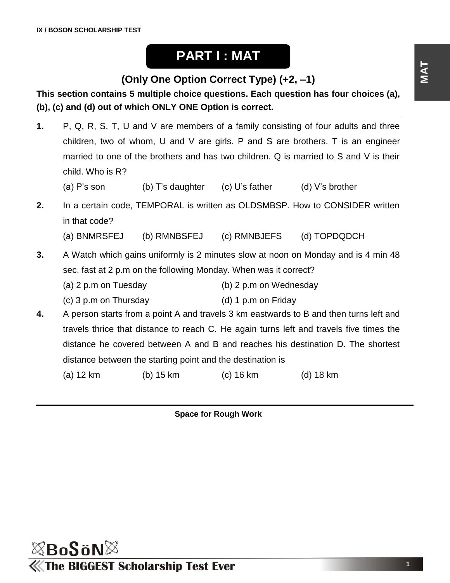## **PART I : MAT**

## **(Only One Option Correct Type) (+2, –1)**

**This section contains 5 multiple choice questions. Each question has four choices (a), (b), (c) and (d) out of which ONLY ONE Option is correct.**

- **1.** P, Q, R, S, T, U and V are members of a family consisting of four adults and three children, two of whom, U and V are girls. P and S are brothers. T is an engineer married to one of the brothers and has two children. Q is married to S and V is their child. Who is R?
	- (a) P's son  $\qquad$  (b) T's daughter (c) U's father  $\qquad$  (d) V's brother
- **2.** In a certain code, TEMPORAL is written as OLDSMBSP. How to CONSIDER written in that code?

(a) BNMRSFEJ (b) RMNBSFEJ (c) RMNBJEFS (d) TOPDQDCH

- **3.** A Watch which gains uniformly is 2 minutes slow at noon on Monday and is 4 min 48 sec. fast at 2 p.m on the following Monday. When was it correct?
	- (a) 2 p.m on Tuesday (b) 2 p.m on Wednesday
	- (c) 3 p.m on Thursday (d) 1 p.m on Friday
- **4.** A person starts from a point A and travels 3 km eastwards to B and then turns left and travels thrice that distance to reach C. He again turns left and travels five times the distance he covered between A and B and reaches his destination D. The shortest distance between the starting point and the destination is
	- (a) 12 km (b) 15 km (c) 16 km (d) 18 km

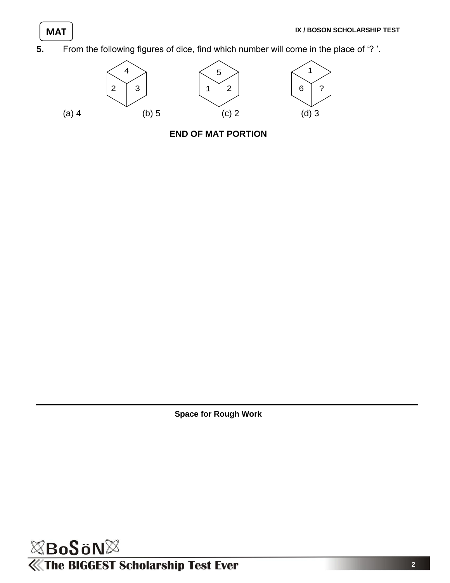**5.** From the following figures of dice, find which number will come in the place of '? '.



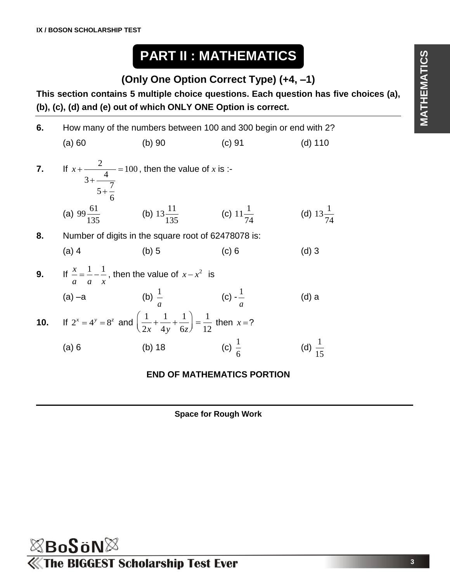# **PART II : MATHEMATICS**

## **(Only One Option Correct Type) (+4, –1)**

**This section contains 5 multiple choice questions. Each question has five choices (a), (b), (c), (d) and (e) out of which ONLY ONE Option is correct.**

| 6.  | How many of the numbers between 100 and 300 begin or end with 2?                                                     |                                                                    |                   |                      |  |  |
|-----|----------------------------------------------------------------------------------------------------------------------|--------------------------------------------------------------------|-------------------|----------------------|--|--|
|     | (a) 60                                                                                                               | $(b)$ 90                                                           | (c) 91            | $(d)$ 110            |  |  |
| 7.  | If $x + \frac{2}{4} = 100$ , then the value of x is :-<br>$3+\frac{7}{5+\frac{7}{5}}$                                |                                                                    |                   |                      |  |  |
|     |                                                                                                                      | (a) $99\frac{61}{135}$ (b) $13\frac{11}{135}$ (c) $11\frac{1}{74}$ |                   | (d) $13\frac{1}{74}$ |  |  |
| 8.  | Number of digits in the square root of 62478078 is:                                                                  |                                                                    |                   |                      |  |  |
|     | $(a)$ 4                                                                                                              | $(b)$ 5                                                            | (c) 6             | $(d)$ 3              |  |  |
| 9.  | If $\frac{x}{x} = \frac{1}{x} - \frac{1}{x}$ , then the value of $x - x^2$ is<br>$a \quad a \quad x$                 |                                                                    |                   |                      |  |  |
|     | $(a) -a$                                                                                                             | (b) $\frac{1}{a}$ (c) $\frac{1}{a}$                                |                   | (d) a                |  |  |
| 10. | If $2^{x} = 4^{y} = 8^{z}$ and $\left(\frac{1}{2x} + \frac{1}{4y} + \frac{1}{6z}\right) = \frac{1}{12}$ then $x = ?$ |                                                                    |                   |                      |  |  |
|     | (a) 6                                                                                                                | $(b)$ 18                                                           | (c) $\frac{1}{6}$ | (d) $\frac{1}{15}$   |  |  |
|     |                                                                                                                      |                                                                    |                   |                      |  |  |

### **END OF MATHEMATICS PORTION**

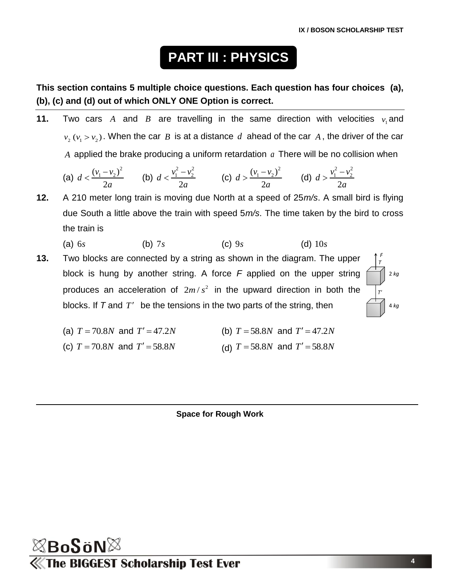*F T*

*T'*

2 *kg*

4 *kg*

# **PART III : PHYSICS**

**This section contains 5 multiple choice questions. Each question has four choices (a), (b), (c) and (d) out of which ONLY ONE Option is correct.**

**11.** Two cars A and B are travelling in the same direction with velocities  $v_1$  and  $v_2$  ( $v_1 > v_2$ ). When the car *B* is at a distance *d* ahead of the car *A*, the driver of the car *A* applied the brake producing a uniform retardation *a* There will be no collision when

(a) 
$$
d < \frac{(v_1 - v_2)^2}{2a}
$$
 (b)  $d < \frac{v_1^2 - v_2^2}{2a}$  (c)  $d > \frac{(v_1 - v_2)^2}{2a}$  (d)  $d > \frac{v_1^2 - v_2^2}{2a}$ 

**12.** A 210 meter long train is moving due North at a speed of 25*m/s*. A small bird is flying due South a little above the train with speed 5*m/s*. The time taken by the bird to cross the train is

(a) 6*s* (b) 7*s* (c) 9*s* (d) 10*s*

**13.** Two blocks are connected by a string as shown in the diagram. The upper block is hung by another string. A force *F* applied on the upper string produces an acceleration of  $2m/s^2$  in the upward direction in both the blocks. If  $T$  and  $T'$  be the tensions in the two parts of the string, then



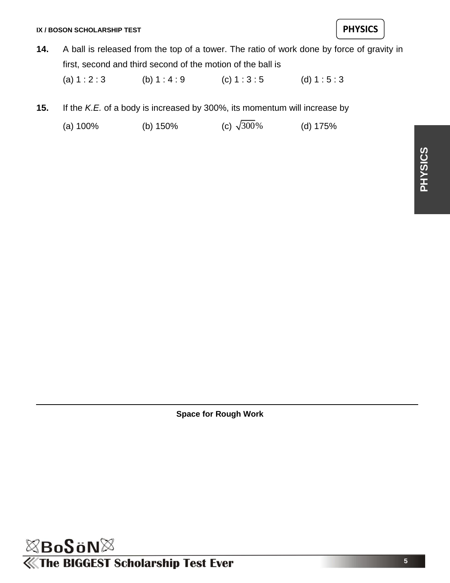**14.** A ball is released from the top of a tower. The ratio of work done by force of gravity in first, second and third second of the motion of the ball is

(a)  $1 : 2 : 3$  (b)  $1 : 4 : 9$  (c)  $1 : 3 : 5$  (d)  $1 : 5 : 3$ 

- **15.** If the *K.E.* of a body is increased by 300%, its momentum will increase by
	- (a)  $100\%$  (b)  $150\%$ (c)  $\sqrt{300}$ % (d) 175%

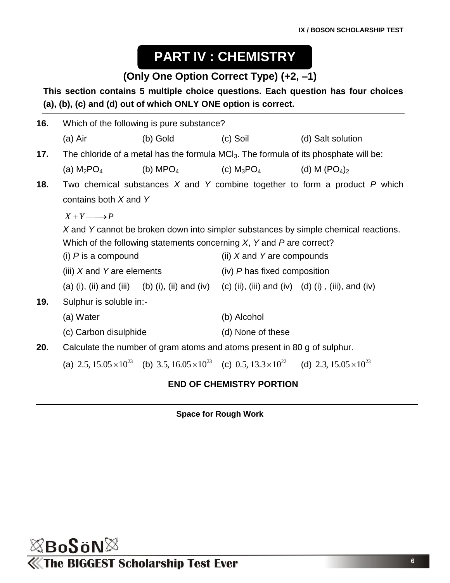# **PART IV : CHEMISTRY**

## **(Only One Option Correct Type) (+2, –1)**

### **This section contains 5 multiple choice questions. Each question has four choices (a), (b), (c) and (d) out of which ONLY ONE option is correct.**

| 16. | Which of the following is pure substance?                                                        |                                                                                                                                |                              |                                                                                     |  |  |  |
|-----|--------------------------------------------------------------------------------------------------|--------------------------------------------------------------------------------------------------------------------------------|------------------------------|-------------------------------------------------------------------------------------|--|--|--|
|     | (a) Air                                                                                          | $(b)$ Gold                                                                                                                     | $(c)$ Soil                   | (d) Salt solution                                                                   |  |  |  |
| 17. | The chloride of a metal has the formula MCI <sub>3</sub> . The formula of its phosphate will be: |                                                                                                                                |                              |                                                                                     |  |  |  |
|     | (a) $M_2$ PO $_4$                                                                                | (b) MPO <sub>4</sub> (c) M <sub>3</sub> PO <sub>4</sub> (d) M (PO <sub>4</sub> ) <sub>2</sub>                                  |                              |                                                                                     |  |  |  |
| 18. |                                                                                                  | Two chemical substances $X$ and $Y$ combine together to form a product $P$ which                                               |                              |                                                                                     |  |  |  |
|     |                                                                                                  |                                                                                                                                |                              |                                                                                     |  |  |  |
|     | $X + Y \longrightarrow P$                                                                        |                                                                                                                                |                              |                                                                                     |  |  |  |
|     |                                                                                                  |                                                                                                                                |                              | X and Y cannot be broken down into simpler substances by simple chemical reactions. |  |  |  |
|     |                                                                                                  | Which of the following statements concerning $X$ , Y and P are correct?                                                        |                              |                                                                                     |  |  |  |
|     | (i) $P$ is a compound<br>(iii) $X$ and Y are elements                                            |                                                                                                                                | (ii) $X$ and Y are compounds |                                                                                     |  |  |  |
|     |                                                                                                  |                                                                                                                                | (iv) P has fixed composition |                                                                                     |  |  |  |
|     |                                                                                                  | (a) (i), (ii) and (iii) (b) (i), (ii) and (iv) (c) (ii), (iii) and (iv) (d) (i), (iii), and (iv)                               |                              |                                                                                     |  |  |  |
| 19. | Sulphur is soluble in:-                                                                          |                                                                                                                                |                              |                                                                                     |  |  |  |
|     | (a) Water                                                                                        |                                                                                                                                | (b) Alcohol                  |                                                                                     |  |  |  |
|     | (c) Carbon disulphide                                                                            |                                                                                                                                | (d) None of these            |                                                                                     |  |  |  |
| 20. |                                                                                                  | Calculate the number of gram atoms and atoms present in 80 g of sulphur.                                                       |                              |                                                                                     |  |  |  |
|     |                                                                                                  | (a) 2.5, $15.05 \times 10^{23}$ (b) 3.5, $16.05 \times 10^{23}$ (c) 0.5, $13.3 \times 10^{22}$ (d) 2.3, $15.05 \times 10^{23}$ |                              |                                                                                     |  |  |  |
|     |                                                                                                  |                                                                                                                                |                              |                                                                                     |  |  |  |

### **END OF CHEMISTRY PORTION**